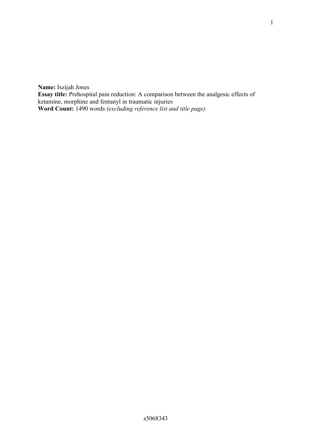**Name:** Iszijah Jones **Essay title:** Prehospital pain reduction: A comparison between the analgesic effects of ketamine, morphine and fentanyl in traumatic injuries **Word Count:** 1490 words *(excluding reference list and title page)*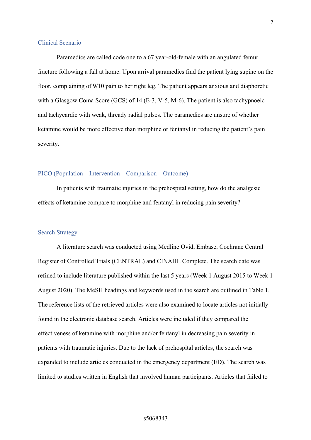#### Clinical Scenario

Paramedics are called code one to a 67 year-old-female with an angulated femur fracture following a fall at home. Upon arrival paramedics find the patient lying supine on the floor, complaining of 9/10 pain to her right leg. The patient appears anxious and diaphoretic with a Glasgow Coma Score (GCS) of 14 (E-3, V-5, M-6). The patient is also tachypnoeic and tachycardic with weak, thready radial pulses. The paramedics are unsure of whether ketamine would be more effective than morphine or fentanyl in reducing the patient's pain severity.

### PICO (Population – Intervention – Comparison – Outcome)

In patients with traumatic injuries in the prehospital setting, how do the analgesic effects of ketamine compare to morphine and fentanyl in reducing pain severity?

### Search Strategy

A literature search was conducted using Medline Ovid, Embase, Cochrane Central Register of Controlled Trials (CENTRAL) and CINAHL Complete. The search date was refined to include literature published within the last 5 years (Week 1 August 2015 to Week 1 August 2020). The MeSH headings and keywords used in the search are outlined in Table 1. The reference lists of the retrieved articles were also examined to locate articles not initially found in the electronic database search. Articles were included if they compared the effectiveness of ketamine with morphine and/or fentanyl in decreasing pain severity in patients with traumatic injuries. Due to the lack of prehospital articles, the search was expanded to include articles conducted in the emergency department (ED). The search was limited to studies written in English that involved human participants. Articles that failed to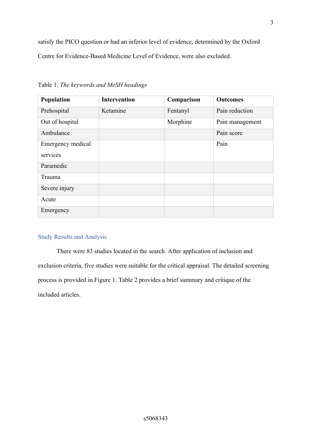satisfy the PICO question or had an inferior level of evidence, determined by the Oxford Centre for Evidence-Based Medicine Level of Evidence, were also excluded.

| Population        | <b>Intervention</b> | Comparison | <b>Outcomes</b> |
|-------------------|---------------------|------------|-----------------|
| Prehospital       | Ketamine            | Fentanyl   | Pain reduction  |
| Out of hospital   |                     | Morphine   | Pain management |
| Ambulance         |                     |            | Pain score      |
| Emergency medical |                     |            | Pain            |
| services          |                     |            |                 |
| Paramedic         |                     |            |                 |
| Trauma            |                     |            |                 |
| Severe injury     |                     |            |                 |
| Acute             |                     |            |                 |
| Emergency         |                     |            |                 |

Table 1. *The keywords and MeSH headings*

### Study Results and Analysis

There were 83 studies located in the search. After application of inclusion and exclusion criteria, five studies were suitable for the critical appraisal. The detailed screening process is provided in Figure 1. Table 2 provides a brief summary and critique of the included articles.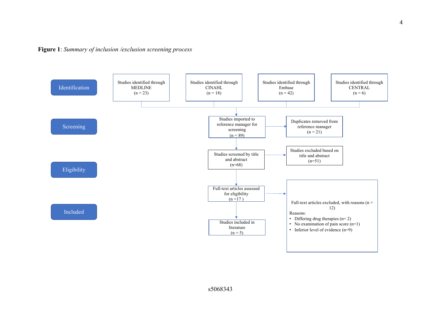

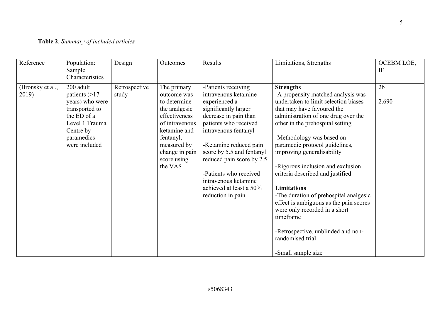# **Table 2**. *Summary of included articles*

| Reference                 | Population:<br>Sample<br>Characteristics                                                                                                       | Design                 | Outcomes                                                                                                                                                                               | Results                                                                                                                                                                                                                                                                                                                                              | Limitations, Strengths                                                                                                                                                                                                                                                                                                                                                                                                                                                                                                                                                                                                | OCEBM LOE,<br>IF        |
|---------------------------|------------------------------------------------------------------------------------------------------------------------------------------------|------------------------|----------------------------------------------------------------------------------------------------------------------------------------------------------------------------------------|------------------------------------------------------------------------------------------------------------------------------------------------------------------------------------------------------------------------------------------------------------------------------------------------------------------------------------------------------|-----------------------------------------------------------------------------------------------------------------------------------------------------------------------------------------------------------------------------------------------------------------------------------------------------------------------------------------------------------------------------------------------------------------------------------------------------------------------------------------------------------------------------------------------------------------------------------------------------------------------|-------------------------|
| (Bronsky et al.,<br>2019) | 200 adult<br>patients $(>17$<br>years) who were<br>transported to<br>the ED of a<br>Level 1 Trauma<br>Centre by<br>paramedics<br>were included | Retrospective<br>study | The primary<br>outcome was<br>to determine<br>the analgesic<br>effectiveness<br>of intravenous<br>ketamine and<br>fentanyl,<br>measured by<br>change in pain<br>score using<br>the VAS | -Patients receiving<br>intravenous ketamine<br>experienced a<br>significantly larger<br>decrease in pain than<br>patients who received<br>intravenous fentanyl<br>-Ketamine reduced pain<br>score by 5.5 and fentanyl<br>reduced pain score by 2.5<br>-Patients who received<br>intravenous ketamine<br>achieved at least a 50%<br>reduction in pain | <b>Strengths</b><br>-A propensity matched analysis was<br>undertaken to limit selection biases<br>that may have favoured the<br>administration of one drug over the<br>other in the prehospital setting<br>-Methodology was based on<br>paramedic protocol guidelines,<br>improving generalisability<br>-Rigorous inclusion and exclusion<br>criteria described and justified<br><b>Limitations</b><br>-The duration of prehospital analgesic<br>effect is ambiguous as the pain scores<br>were only recorded in a short<br>timeframe<br>-Retrospective, unblinded and non-<br>randomised trial<br>-Small sample size | 2 <sub>b</sub><br>2.690 |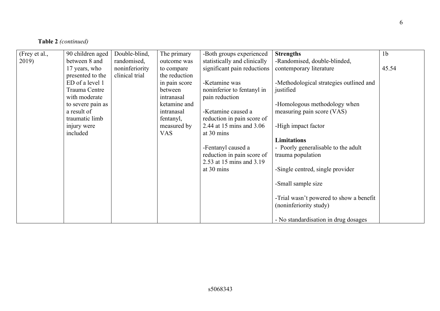## **Table 2** *(continued)*

| (Frey et al.,<br>2019) | 90 children aged<br>between 8 and<br>17 years, who<br>presented to the<br>ED of a level 1<br>Trauma Centre<br>with moderate<br>to severe pain as<br>a result of<br>traumatic limb<br>injury were<br>included | Double-blind,<br>randomised,<br>noninferiority<br>clinical trial | The primary<br>outcome was<br>to compare<br>the reduction<br>in pain score<br>between<br>intranasal<br>ketamine and<br>intranasal<br>fentanyl,<br>measured by<br><b>VAS</b> | -Both groups experienced<br>statistically and clinically<br>significant pain reductions<br>-Ketamine was<br>noninferior to fentanyl in<br>pain reduction<br>-Ketamine caused a<br>reduction in pain score of<br>2.44 at 15 mins and 3.06<br>at 30 mins<br>-Fentanyl caused a<br>reduction in pain score of<br>2.53 at 15 mins and 3.19<br>at 30 mins | <b>Strengths</b><br>-Randomised, double-blinded,<br>contemporary literature<br>-Methodological strategies outlined and<br>justified<br>-Homologous methodology when<br>measuring pain score (VAS)<br>-High impact factor<br><b>Limitations</b><br>- Poorly generalisable to the adult<br>trauma population<br>-Single centred, single provider | 1 <sub>b</sub><br>45.54 |
|------------------------|--------------------------------------------------------------------------------------------------------------------------------------------------------------------------------------------------------------|------------------------------------------------------------------|-----------------------------------------------------------------------------------------------------------------------------------------------------------------------------|------------------------------------------------------------------------------------------------------------------------------------------------------------------------------------------------------------------------------------------------------------------------------------------------------------------------------------------------------|------------------------------------------------------------------------------------------------------------------------------------------------------------------------------------------------------------------------------------------------------------------------------------------------------------------------------------------------|-------------------------|
|                        |                                                                                                                                                                                                              |                                                                  |                                                                                                                                                                             |                                                                                                                                                                                                                                                                                                                                                      | -Small sample size                                                                                                                                                                                                                                                                                                                             |                         |
|                        |                                                                                                                                                                                                              |                                                                  |                                                                                                                                                                             |                                                                                                                                                                                                                                                                                                                                                      | -Trial wasn't powered to show a benefit<br>(noninferiority study)<br>- No standardisation in drug dosages                                                                                                                                                                                                                                      |                         |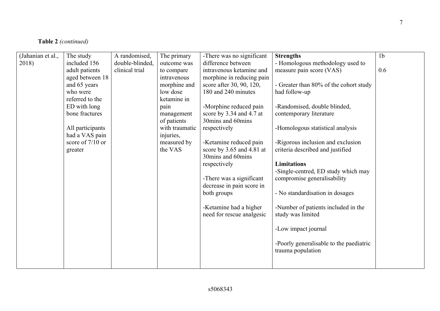## **Table 2** *(continued)*

| (Jahanian et al., | The study          | A randomised,   | The primary    | -There was no significant | <b>Strengths</b>                        | 1 <sub>b</sub> |
|-------------------|--------------------|-----------------|----------------|---------------------------|-----------------------------------------|----------------|
| 2018)             | included 156       | double-blinded, | outcome was    | difference between        | - Homologous methodology used to        |                |
|                   | adult patients     | clinical trial  | to compare     | intravenous ketamine and  | measure pain score (VAS)                | 0.6            |
|                   | aged between 18    |                 | intravenous    | morphine in reducing pain |                                         |                |
|                   | and 65 years       |                 | morphine and   | score after 30, 90, 120,  | - Greater than 80% of the cohort study  |                |
|                   | who were           |                 | low dose       | 180 and 240 minutes       | had follow-up                           |                |
|                   | referred to the    |                 | ketamine in    |                           |                                         |                |
|                   | ED with long       |                 | pain           | -Morphine reduced pain    | -Randomised, double blinded,            |                |
|                   | bone fractures     |                 | management     | score by 3.34 and 4.7 at  | contemporary literature                 |                |
|                   |                    |                 | of patients    | 30mins and 60mins         |                                         |                |
|                   | All participants   |                 | with traumatic | respectively              | -Homologous statistical analysis        |                |
|                   | had a VAS pain     |                 | injuries,      |                           |                                         |                |
|                   | score of $7/10$ or |                 | measured by    | -Ketamine reduced pain    | -Rigorous inclusion and exclusion       |                |
|                   | greater            |                 | the VAS        | score by 3.65 and 4.81 at | criteria described and justified        |                |
|                   |                    |                 |                | 30 mins and 60 mins       |                                         |                |
|                   |                    |                 |                | respectively              | <b>Limitations</b>                      |                |
|                   |                    |                 |                |                           | -Single-centred, ED study which may     |                |
|                   |                    |                 |                | -There was a significant  | compromise generalisability             |                |
|                   |                    |                 |                | decrease in pain score in |                                         |                |
|                   |                    |                 |                | both groups               | - No standardisation in dosages         |                |
|                   |                    |                 |                | -Ketamine had a higher    | -Number of patients included in the     |                |
|                   |                    |                 |                | need for rescue analgesic | study was limited                       |                |
|                   |                    |                 |                |                           |                                         |                |
|                   |                    |                 |                |                           | -Low impact journal                     |                |
|                   |                    |                 |                |                           |                                         |                |
|                   |                    |                 |                |                           | -Poorly generalisable to the paediatric |                |
|                   |                    |                 |                |                           | trauma population                       |                |
|                   |                    |                 |                |                           |                                         |                |
|                   |                    |                 |                |                           |                                         |                |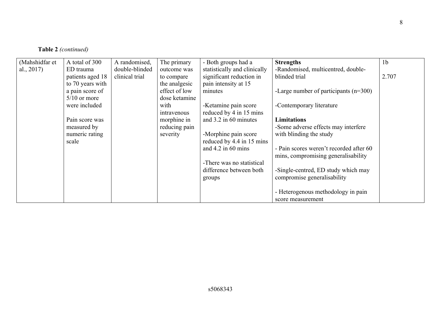|  | Table 2 (continued) |
|--|---------------------|
|--|---------------------|

| (Mahshidfar et | A total of 300   | A randomised,  | The primary   | - Both groups had a          | <b>Strengths</b>                        | 1 <sub>b</sub> |
|----------------|------------------|----------------|---------------|------------------------------|-----------------------------------------|----------------|
| al., $2017$ )  | ED trauma        | double-blinded | outcome was   | statistically and clinically | -Randomised, multicentred, double-      |                |
|                | patients aged 18 | clinical trial | to compare    | significant reduction in     | blinded trial                           | 2.707          |
|                | to 70 years with |                | the analgesic | pain intensity at 15         |                                         |                |
|                | a pain score of  |                | effect of low | minutes                      | -Large number of participants $(n=300)$ |                |
|                | $5/10$ or more   |                | dose ketamine |                              |                                         |                |
|                | were included    |                | with          | -Ketamine pain score         | -Contemporary literature                |                |
|                |                  |                | intravenous   | reduced by 4 in 15 mins      |                                         |                |
|                | Pain score was   |                | morphine in   | and 3.2 in 60 minutes        | <b>Limitations</b>                      |                |
|                | measured by      |                | reducing pain |                              | -Some adverse effects may interfere     |                |
|                | numeric rating   |                | severity      | -Morphine pain score         | with blinding the study                 |                |
|                | scale            |                |               | reduced by 4.4 in 15 mins    |                                         |                |
|                |                  |                |               | and $4.2$ in 60 mins         | - Pain scores weren't recorded after 60 |                |
|                |                  |                |               |                              | mins, compromising generalisability     |                |
|                |                  |                |               | -There was no statistical    |                                         |                |
|                |                  |                |               | difference between both      | -Single-centred, ED study which may     |                |
|                |                  |                |               | groups                       | compromise generalisability             |                |
|                |                  |                |               |                              |                                         |                |
|                |                  |                |               |                              | - Heterogenous methodology in pain      |                |
|                |                  |                |               |                              | score measurement                       |                |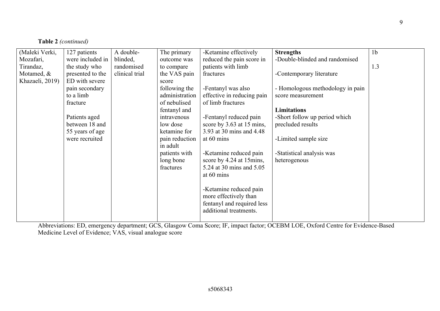| (Maleki Verki,  | 127 patients     | A double-      | The primary    | -Ketamine effectively      | <b>Strengths</b>                 | 1 <sub>b</sub> |
|-----------------|------------------|----------------|----------------|----------------------------|----------------------------------|----------------|
| Mozafari,       | were included in | blinded,       | outcome was    | reduced the pain score in  | -Double-blinded and randomised   |                |
| Tirandaz,       | the study who    | randomised     | to compare     | patients with limb         |                                  | 1.3            |
| Motamed, &      | presented to the | clinical trial | the VAS pain   | fractures                  | -Contemporary literature         |                |
| Khazaeli, 2019) | ED with severe   |                | score          |                            |                                  |                |
|                 | pain secondary   |                | following the  | -Fentanyl was also         | - Homologous methodology in pain |                |
|                 | to a limb        |                | administration | effective in reducing pain | score measurement                |                |
|                 | fracture         |                | of nebulised   | of limb fractures          |                                  |                |
|                 |                  |                | fentanyl and   |                            | <b>Limitations</b>               |                |
|                 | Patients aged    |                | intravenous    | -Fentanyl reduced pain     | -Short follow up period which    |                |
|                 | between 18 and   |                | low dose       | score by 3.63 at 15 mins,  | precluded results                |                |
|                 | 55 years of age  |                | ketamine for   | 3.93 at 30 mins and 4.48   |                                  |                |
|                 | were recruited   |                | pain reduction | at 60 mins                 | -Limited sample size             |                |
|                 |                  |                | in adult       |                            |                                  |                |
|                 |                  |                | patients with  | -Ketamine reduced pain     | -Statistical analysis was        |                |
|                 |                  |                | long bone      | score by 4.24 at 15mins,   | heterogenous                     |                |
|                 |                  |                | fractures      | 5.24 at 30 mins and 5.05   |                                  |                |
|                 |                  |                |                | at 60 mins                 |                                  |                |
|                 |                  |                |                |                            |                                  |                |
|                 |                  |                |                | -Ketamine reduced pain     |                                  |                |
|                 |                  |                |                | more effectively than      |                                  |                |
|                 |                  |                |                | fentanyl and required less |                                  |                |
|                 |                  |                |                | additional treatments.     |                                  |                |
|                 |                  |                |                |                            |                                  |                |
|                 |                  |                |                |                            |                                  |                |

**Table 2** *(continued)*

9

Abbreviations: ED, emergency department; GCS, Glasgow Coma Score; IF, impact factor; OCEBM LOE, Oxford Centre for Evidence-Based Medicine Level of Evidence; VAS, visual analogue score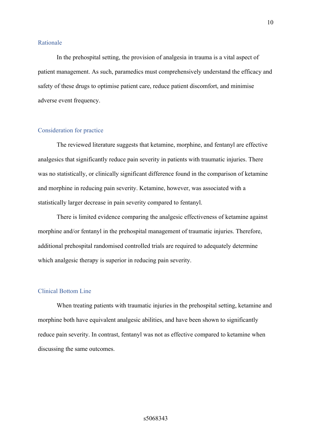#### Rationale

In the prehospital setting, the provision of analgesia in trauma is a vital aspect of patient management. As such, paramedics must comprehensively understand the efficacy and safety of these drugs to optimise patient care, reduce patient discomfort, and minimise adverse event frequency.

### Consideration for practice

The reviewed literature suggests that ketamine, morphine, and fentanyl are effective analgesics that significantly reduce pain severity in patients with traumatic injuries. There was no statistically, or clinically significant difference found in the comparison of ketamine and morphine in reducing pain severity. Ketamine, however, was associated with a statistically larger decrease in pain severity compared to fentanyl.

There is limited evidence comparing the analgesic effectiveness of ketamine against morphine and/or fentanyl in the prehospital management of traumatic injuries. Therefore, additional prehospital randomised controlled trials are required to adequately determine which analgesic therapy is superior in reducing pain severity.

### Clinical Bottom Line

When treating patients with traumatic injuries in the prehospital setting, ketamine and morphine both have equivalent analgesic abilities, and have been shown to significantly reduce pain severity. In contrast, fentanyl was not as effective compared to ketamine when discussing the same outcomes.